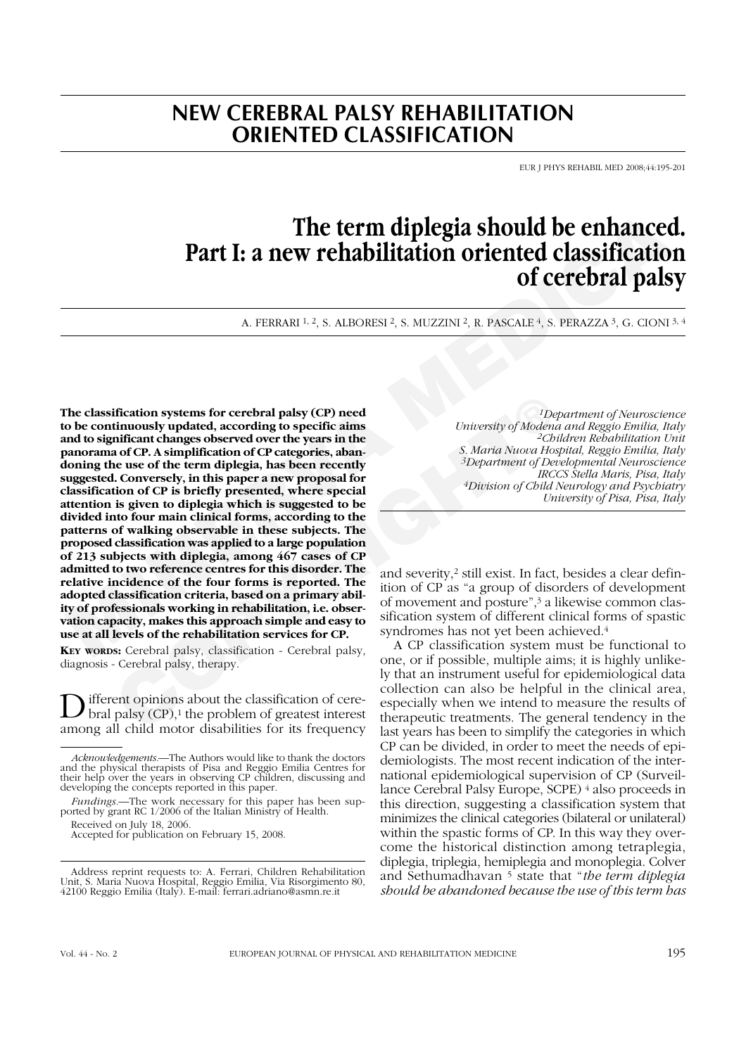# **NEW CEREBRAL PALSY REHABILITATION ORIENTED CLASSIFICATION**

EUR J PHYS REHABIL MED 2008;44:195-201

# **The term diplegia should be enhanced. Part I: a new rehabilitation oriented classification of cerebral palsy**

A. FERRARI <sup>1, 2</sup>, S. ALBORESI <sup>2</sup>, S. MUZZINI <sup>2</sup>, R. PASCALE <sup>4</sup>, S. PERAZZA <sup>3</sup>, G. CIONI <sup>3, 4</sup>

**The term diplegia should be enhanced**<br> **Part I: a new rehabilitation oriented classification**<br>
of **cerebral pals**<br>
A. TERRARI<sup>41,2</sup>, S. ALDORESI<sup>2</sup>, S. NUZZINI<sup>2</sup>, R. PASCALE 4, S. PERAZZA<sup>3</sup>, G. CIONI-<br>
the classificati **Examplementary controlling to the controlling of the controlling of Model and CP. A simplification of CP tacegories, abandon of CP is one of the term diplegia, has been recently and a of CP. A simplification of CP tacego The classification systems for cerebral palsy (CP) need to be continuously updated, according to specific aims and to significant changes observed over the years in the panorama of CP. A simplification of CP categories, abandoning the use of the term diplegia, has been recently suggested. Conversely, in this paper a new proposal for classification of CP is briefly presented, where special attention is given to diplegia which is suggested to be divided into four main clinical forms, according to the patterns of walking observable in these subjects. The proposed classification was applied to a large population of 213 subjects with diplegia, among 467 cases of CP admitted to two reference centres for this disorder. The relative incidence of the four forms is reported. The adopted classification criteria, based on a primary ability of professionals working in rehabilitation, i.e. observation capacity, makes this approach simple and easy to use at all levels of the rehabilitation services for CP.**

**KEY WORDS:** Cerebral palsy, classification - Cerebral palsy, diagnosis - Cerebral palsy, therapy.

D ifferent opinions about the classification of cere-<br>bral palsy (CP),<sup>1</sup> the problem of greatest interest among all child motor disabilities for its frequency

*1Department of Neuroscience University of Modena and Reggio Emilia, Italy 2Children Rehabilitation Unit S. Maria Nuova Hospital, Reggio Emilia, Italy 3Department of Developmental Neuroscience IRCCS Stella Maris, Pisa, Italy 4Division of Child Neurology and Psychiatry University of Pisa, Pisa, Italy*

and severity,2 still exist. In fact, besides a clear definition of CP as "a group of disorders of development of movement and posture",3 a likewise common classification system of different clinical forms of spastic syndromes has not yet been achieved.<sup>4</sup>

A CP classification system must be functional to one, or if possible, multiple aims; it is highly unlikely that an instrument useful for epidemiological data collection can also be helpful in the clinical area, especially when we intend to measure the results of therapeutic treatments. The general tendency in the last years has been to simplify the categories in which CP can be divided, in order to meet the needs of epidemiologists. The most recent indication of the international epidemiological supervision of CP (Surveillance Cerebral Palsy Europe, SCPE) 4 also proceeds in this direction, suggesting a classification system that minimizes the clinical categories (bilateral or unilateral) within the spastic forms of CP. In this way they overcome the historical distinction among tetraplegia, diplegia, triplegia, hemiplegia and monoplegia. Colver and Sethumadhavan 5 state that "*the term diplegia should be abandoned because the use of this term has*

*Acknowledgements.*—The Authors would like to thank the doctors and the physical therapists of Pisa and Reggio Emilia Centres for their help over the years in observing CP children, discussing and developing the concepts reported in this paper.

*Fundings.*—The work necessary for this paper has been sup-<br>ported by grant RC 1/2006 of the Italian Ministry of Health.

Received on July 18, 2006. Accepted for publication on February 15, 2008.

Address reprint requests to: A. Ferrari, Children Rehabilitation Unit, S. Maria Nuova Hospital, Reggio Emilia, Via Risorgimento 80, 42100 Reggio Emilia (Italy). E-mail: ferrari.adriano@asmn.re.it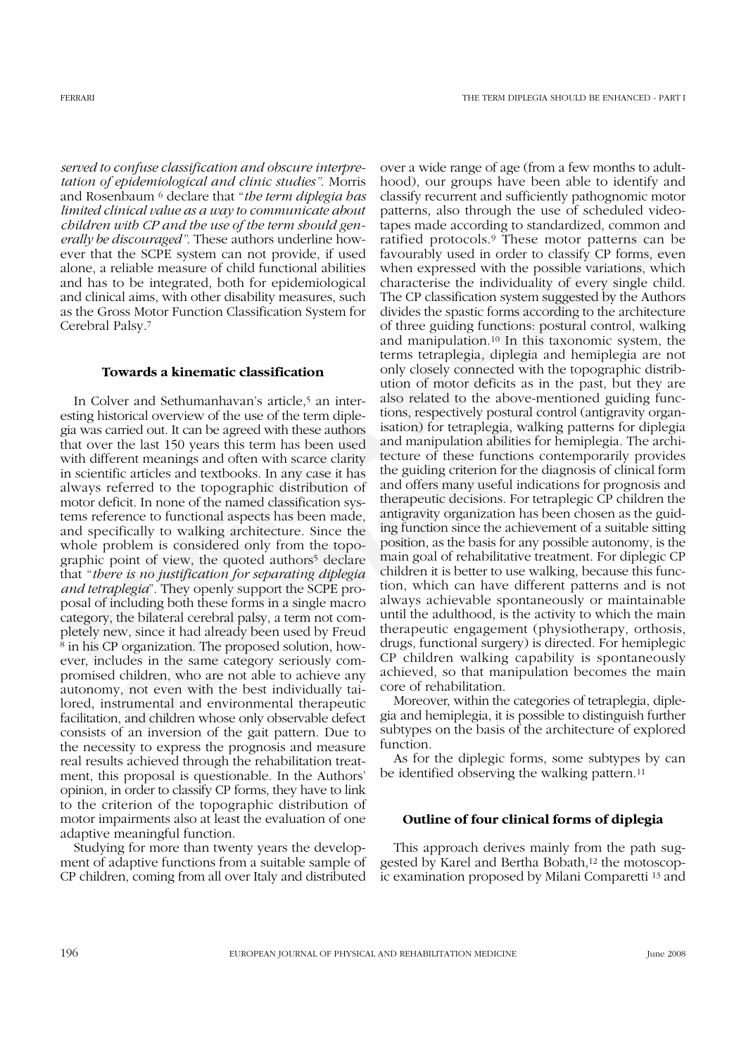*served to confuse classification and obscure interpretation of epidemiological and clinic studies"*. Morris and Rosenbaum 6 declare that "*the term diplegia has limited clinical value as a way to communicate about children with CP and the use of the term should generally be discouraged"*. These authors underline however that the SCPE system can not provide, if used alone, a reliable measure of child functional abilities and has to be integrated, both for epidemiological and clinical aims, with other disability measures, such as the Gross Motor Function Classification System for Cerebral Palsy.7

#### **Towards a kinematic classification**

wer and Sethmannhavans article,<sup>3</sup> an inter-also reade to the above-ment betwer and othin the agged with these authors is actively postural contrided out. It can be agreed with these authors is ation) for tetraplegia, walk In Colver and Sethumanhavan's article,<sup>5</sup> an interesting historical overview of the use of the term diplegia was carried out. It can be agreed with these authors that over the last 150 years this term has been used with different meanings and often with scarce clarity in scientific articles and textbooks. In any case it has always referred to the topographic distribution of motor deficit. In none of the named classification systems reference to functional aspects has been made, and specifically to walking architecture. Since the whole problem is considered only from the topographic point of view, the quoted authors<sup>5</sup> declare that "*there is no justification for separating diplegia and tetraplegia*". They openly support the SCPE proposal of including both these forms in a single macro category, the bilateral cerebral palsy, a term not completely new, since it had already been used by Freud <sup>8</sup> in his CP organization. The proposed solution, however, includes in the same category seriously compromised children, who are not able to achieve any autonomy, not even with the best individually tailored, instrumental and environmental therapeutic facilitation, and children whose only observable defect consists of an inversion of the gait pattern. Due to the necessity to express the prognosis and measure real results achieved through the rehabilitation treatment, this proposal is questionable. In the Authors' opinion, in order to classify CP forms, they have to link to the criterion of the topographic distribution of motor impairments also at least the evaluation of one adaptive meaningful function.

Studying for more than twenty years the development of adaptive functions from a suitable sample of CP children, coming from all over Italy and distributed

**Entire the trace of the term should gan-<br>map and according to the set of the term should gan-<br>map and according to the set of the set of the film of the set of the set of the set of the set of the set of the set of the s** over a wide range of age (from a few months to adulthood), our groups have been able to identify and classify recurrent and sufficiently pathognomic motor patterns, also through the use of scheduled videotapes made according to standardized, common and ratified protocols.9 These motor patterns can be favourably used in order to classify CP forms, even when expressed with the possible variations, which characterise the individuality of every single child. The CP classification system suggested by the Authors divides the spastic forms according to the architecture of three guiding functions: postural control, walking and manipulation.10 In this taxonomic system, the terms tetraplegia, diplegia and hemiplegia are not only closely connected with the topographic distribution of motor deficits as in the past, but they are also related to the above-mentioned guiding functions, respectively postural control (antigravity organisation) for tetraplegia, walking patterns for diplegia and manipulation abilities for hemiplegia. The architecture of these functions contemporarily provides the guiding criterion for the diagnosis of clinical form and offers many useful indications for prognosis and therapeutic decisions. For tetraplegic CP children the antigravity organization has been chosen as the guiding function since the achievement of a suitable sitting position, as the basis for any possible autonomy, is the main goal of rehabilitative treatment. For diplegic CP children it is better to use walking, because this function, which can have different patterns and is not always achievable spontaneously or maintainable until the adulthood, is the activity to which the main therapeutic engagement (physiotherapy, orthosis, drugs, functional surgery) is directed. For hemiplegic CP children walking capability is spontaneously achieved, so that manipulation becomes the main core of rehabilitation.

> Moreover, within the categories of tetraplegia, diplegia and hemiplegia, it is possible to distinguish further subtypes on the basis of the architecture of explored function.

> As for the diplegic forms, some subtypes by can be identified observing the walking pattern.11

# **Outline of four clinical forms of diplegia**

This approach derives mainly from the path suggested by Karel and Bertha Bobath,<sup>12</sup> the motoscopic examination proposed by Milani Comparetti 13 and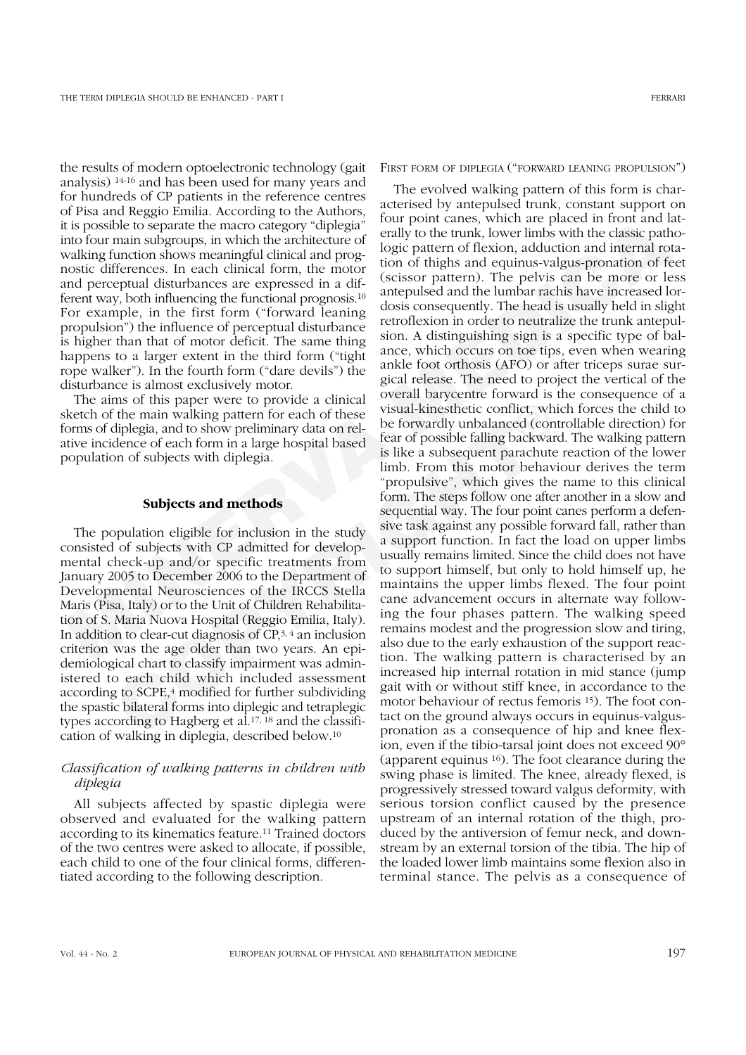the results of modern optoelectronic technology (gait analysis) 14-16 and has been used for many years and for hundreds of CP patients in the reference centres of Pisa and Reggio Emilia. According to the Authors, it is possible to separate the macro category "diplegia" into four main subgroups, in which the architecture of walking function shows meaningful clinical and prognostic differences. In each clinical form, the motor and perceptual disturbances are expressed in a different way, both influencing the functional prognosis.10 For example, in the first form ("forward leaning propulsion") the influence of perceptual disturbance is higher than that of motor deficit. The same thing happens to a larger extent in the third form ("tight rope walker"). In the fourth form ("dare devils") the disturbance is almost exclusively motor.

The aims of this paper were to provide a clinical sketch of the main walking pattern for each of these forms of diplegia, and to show preliminary data on relative incidence of each form in a large hospital based population of subjects with diplegia.

## **Subjects and methods**

The population eligible for inclusion in the study consisted of subjects with CP admitted for developmental check-up and/or specific treatments from January 2005 to December 2006 to the Department of Developmental Neurosciences of the IRCCS Stella Maris (Pisa, Italy) or to the Unit of Children Rehabilitation of S. Maria Nuova Hospital (Reggio Emilia, Italy). In addition to clear-cut diagnosis of CP,3, 4 an inclusion criterion was the age older than two years. An epidemiological chart to classify impairment was administered to each child which included assessment according to SCPE,4 modified for further subdividing the spastic bilateral forms into diplegic and tetraplegic types according to Hagberg et al.17, 18 and the classification of walking in diplegia, described below.10

# *Classification of walking patterns in children with diplegia*

All subjects affected by spastic diplegia were observed and evaluated for the walking pattern according to its kinematics feature.11 Trained doctors of the two centres were asked to allocate, if possible, each child to one of the four clinical forms, differentiated according to the following description.

FIRST FORM OF DIPLEGIA ("FORWARD LEANING PROPULSION")

The positive to separate the mace category "chiefiga"<sup>1</sup> tour point cames, which are placed in from and hard working that the positive increase of the model in the model of the positive of the model of the model of the mod In so this paper were to provide a comical combined component and the component of the main walking pattern for each of these visual-kinesthetic conflict, whis diplegia, and to show preliminary data on rel-<br>be forwardly un The evolved walking pattern of this form is characterised by antepulsed trunk, constant support on four point canes, which are placed in front and laterally to the trunk, lower limbs with the classic pathologic pattern of flexion, adduction and internal rotation of thighs and equinus-valgus-pronation of feet (scissor pattern). The pelvis can be more or less antepulsed and the lumbar rachis have increased lordosis consequently. The head is usually held in slight retroflexion in order to neutralize the trunk antepulsion. A distinguishing sign is a specific type of balance, which occurs on toe tips, even when wearing ankle foot orthosis (AFO) or after triceps surae surgical release. The need to project the vertical of the overall barycentre forward is the consequence of a visual-kinesthetic conflict, which forces the child to be forwardly unbalanced (controllable direction) for fear of possible falling backward. The walking pattern is like a subsequent parachute reaction of the lower limb. From this motor behaviour derives the term "propulsive", which gives the name to this clinical form. The steps follow one after another in a slow and sequential way. The four point canes perform a defensive task against any possible forward fall, rather than a support function. In fact the load on upper limbs usually remains limited. Since the child does not have to support himself, but only to hold himself up, he maintains the upper limbs flexed. The four point cane advancement occurs in alternate way following the four phases pattern. The walking speed remains modest and the progression slow and tiring, also due to the early exhaustion of the support reaction. The walking pattern is characterised by an increased hip internal rotation in mid stance (jump gait with or without stiff knee, in accordance to the motor behaviour of rectus femoris 15). The foot contact on the ground always occurs in equinus-valguspronation as a consequence of hip and knee flexion, even if the tibio-tarsal joint does not exceed 90° (apparent equinus 16). The foot clearance during the swing phase is limited. The knee, already flexed, is progressively stressed toward valgus deformity, with serious torsion conflict caused by the presence upstream of an internal rotation of the thigh, produced by the antiversion of femur neck, and downstream by an external torsion of the tibia. The hip of the loaded lower limb maintains some flexion also in terminal stance. The pelvis as a consequence of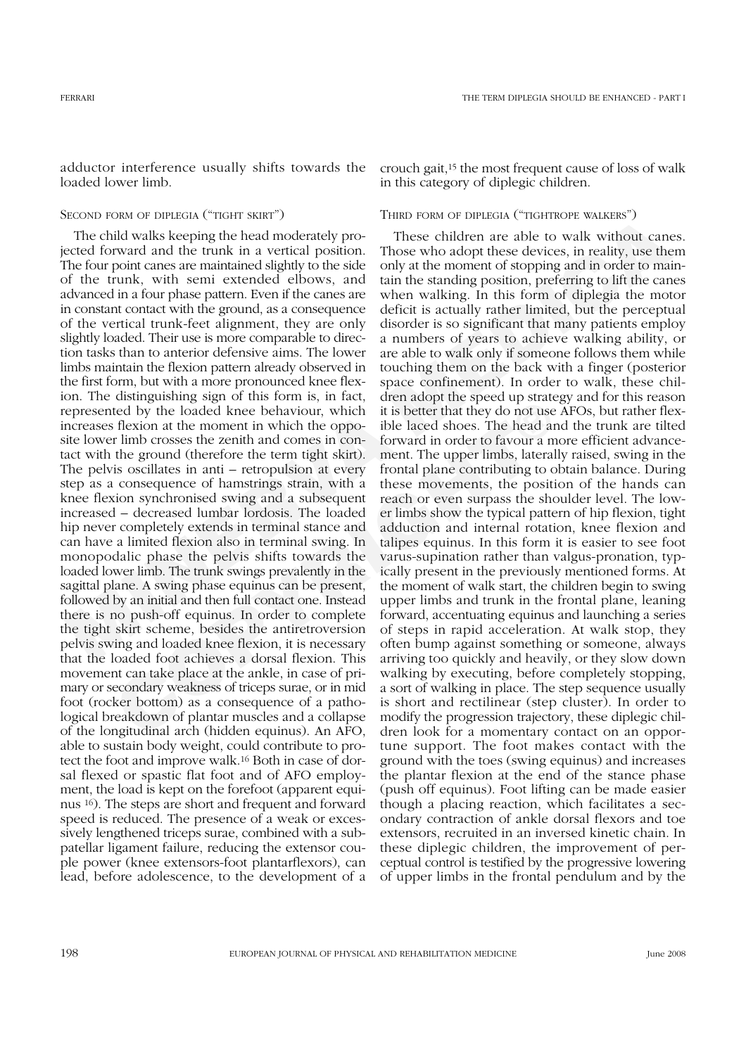adductor interference usually shifts towards the loaded lower limb.

# SECOND FORM OF DIPLEGIA ("TIGHT SKIRT")

Location of particular internal methanic states and the constrained the constrained the constrained the track of the moment of the constrained the track of the track of the constrained the track of the constrained by the c anaryanamy again or una form is, in that, we cannot the dythe loaded knee behaviour, which it is better that they do not use flexion at the moment in which the oppo- ible laced shoes. The head an timb crosses the zenit and The child walks keeping the head moderately projected forward and the trunk in a vertical position. The four point canes are maintained slightly to the side of the trunk, with semi extended elbows, and advanced in a four phase pattern. Even if the canes are in constant contact with the ground, as a consequence of the vertical trunk-feet alignment, they are only slightly loaded. Their use is more comparable to direction tasks than to anterior defensive aims. The lower limbs maintain the flexion pattern already observed in the first form, but with a more pronounced knee flexion. The distinguishing sign of this form is, in fact, represented by the loaded knee behaviour, which increases flexion at the moment in which the opposite lower limb crosses the zenith and comes in contact with the ground (therefore the term tight skirt). The pelvis oscillates in anti – retropulsion at every step as a consequence of hamstrings strain, with a knee flexion synchronised swing and a subsequent increased – decreased lumbar lordosis. The loaded hip never completely extends in terminal stance and can have a limited flexion also in terminal swing. In monopodalic phase the pelvis shifts towards the loaded lower limb. The trunk swings prevalently in the sagittal plane. A swing phase equinus can be present, followed by an initial and then full contact one. Instead there is no push-off equinus. In order to complete the tight skirt scheme, besides the antiretroversion pelvis swing and loaded knee flexion, it is necessary that the loaded foot achieves a dorsal flexion. This movement can take place at the ankle, in case of primary or secondary weakness of triceps surae, or in mid foot (rocker bottom) as a consequence of a pathological breakdown of plantar muscles and a collapse of the longitudinal arch (hidden equinus). An AFO, able to sustain body weight, could contribute to protect the foot and improve walk.16 Both in case of dorsal flexed or spastic flat foot and of AFO employment, the load is kept on the forefoot (apparent equinus 16). The steps are short and frequent and forward speed is reduced. The presence of a weak or excessively lengthened triceps surae, combined with a subpatellar ligament failure, reducing the extensor couple power (knee extensors-foot plantarflexors), can lead, before adolescence, to the development of a

crouch gait,15 the most frequent cause of loss of walk in this category of diplegic children.

# THIRD FORM OF DIPLEGIA ("TIGHTROPE WALKERS")

These children are able to walk without canes. Those who adopt these devices, in reality, use them only at the moment of stopping and in order to maintain the standing position, preferring to lift the canes when walking. In this form of diplegia the motor deficit is actually rather limited, but the perceptual disorder is so significant that many patients employ a numbers of years to achieve walking ability, or are able to walk only if someone follows them while touching them on the back with a finger (posterior space confinement). In order to walk, these children adopt the speed up strategy and for this reason it is better that they do not use AFOs, but rather flexible laced shoes. The head and the trunk are tilted forward in order to favour a more efficient advancement. The upper limbs, laterally raised, swing in the frontal plane contributing to obtain balance. During these movements, the position of the hands can reach or even surpass the shoulder level. The lower limbs show the typical pattern of hip flexion, tight adduction and internal rotation, knee flexion and talipes equinus. In this form it is easier to see foot varus-supination rather than valgus-pronation, typically present in the previously mentioned forms. At the moment of walk start, the children begin to swing upper limbs and trunk in the frontal plane, leaning forward, accentuating equinus and launching a series of steps in rapid acceleration. At walk stop, they often bump against something or someone, always arriving too quickly and heavily, or they slow down walking by executing, before completely stopping, a sort of walking in place. The step sequence usually is short and rectilinear (step cluster). In order to modify the progression trajectory, these diplegic children look for a momentary contact on an opportune support. The foot makes contact with the ground with the toes (swing equinus) and increases the plantar flexion at the end of the stance phase (push off equinus). Foot lifting can be made easier though a placing reaction, which facilitates a secondary contraction of ankle dorsal flexors and toe extensors, recruited in an inversed kinetic chain. In these diplegic children, the improvement of perceptual control is testified by the progressive lowering of upper limbs in the frontal pendulum and by the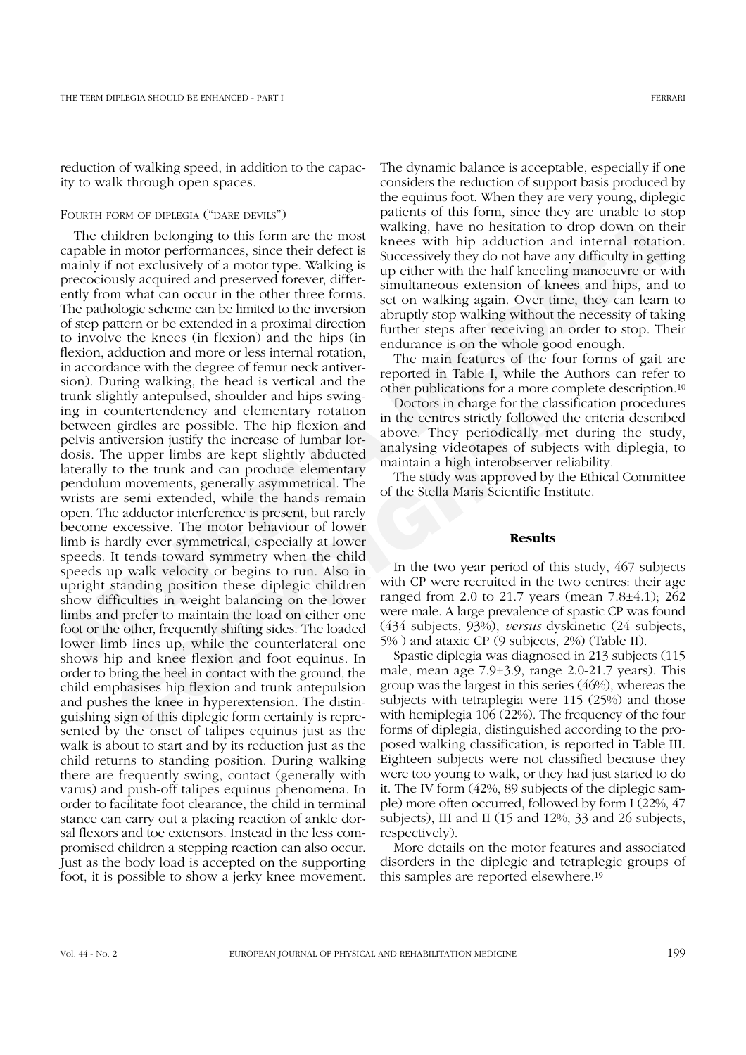reduction of walking speed, in addition to the capacity to walk through open spaces.

#### FOURTH FORM OF DIPLEGIA ("DARE DEVILS")

Obstrint observation (Van Det and the best state and the two methods in the challer and the challer in motor permanels in motor permanels in more permanel in more than the state with his advertise to the detect is known on From the content and most window the proposition in the center strict) followed interests and elementary rotation and the center strictly followed the urger limbs are kept slightly abducted analysing videotapes of subjecti The children belonging to this form are the most capable in motor performances, since their defect is mainly if not exclusively of a motor type. Walking is precociously acquired and preserved forever, differently from what can occur in the other three forms. The pathologic scheme can be limited to the inversion of step pattern or be extended in a proximal direction to involve the knees (in flexion) and the hips (in flexion, adduction and more or less internal rotation, in accordance with the degree of femur neck antiversion). During walking, the head is vertical and the trunk slightly antepulsed, shoulder and hips swinging in countertendency and elementary rotation between girdles are possible. The hip flexion and pelvis antiversion justify the increase of lumbar lordosis. The upper limbs are kept slightly abducted laterally to the trunk and can produce elementary pendulum movements, generally asymmetrical. The wrists are semi extended, while the hands remain open. The adductor interference is present, but rarely become excessive. The motor behaviour of lower limb is hardly ever symmetrical, especially at lower speeds. It tends toward symmetry when the child speeds up walk velocity or begins to run. Also in upright standing position these diplegic children show difficulties in weight balancing on the lower limbs and prefer to maintain the load on either one foot or the other, frequently shifting sides. The loaded lower limb lines up, while the counterlateral one shows hip and knee flexion and foot equinus. In order to bring the heel in contact with the ground, the child emphasises hip flexion and trunk antepulsion and pushes the knee in hyperextension. The distinguishing sign of this diplegic form certainly is represented by the onset of talipes equinus just as the walk is about to start and by its reduction just as the child returns to standing position. During walking there are frequently swing, contact (generally with varus) and push-off talipes equinus phenomena. In order to facilitate foot clearance, the child in terminal stance can carry out a placing reaction of ankle dorsal flexors and toe extensors. Instead in the less compromised children a stepping reaction can also occur. Just as the body load is accepted on the supporting foot, it is possible to show a jerky knee movement.

The dynamic balance is acceptable, especially if one considers the reduction of support basis produced by the equinus foot. When they are very young, diplegic patients of this form, since they are unable to stop walking, have no hesitation to drop down on their knees with hip adduction and internal rotation. Successively they do not have any difficulty in getting up either with the half kneeling manoeuvre or with simultaneous extension of knees and hips, and to set on walking again. Over time, they can learn to abruptly stop walking without the necessity of taking further steps after receiving an order to stop. Their endurance is on the whole good enough.

The main features of the four forms of gait are reported in Table I, while the Authors can refer to other publications for a more complete description.10

Doctors in charge for the classification procedures in the centres strictly followed the criteria described above. They periodically met during the study, analysing videotapes of subjects with diplegia, to maintain a high interobserver reliability.

The study was approved by the Ethical Committee of the Stella Maris Scientific Institute.

#### **Results**

In the two year period of this study, 467 subjects with CP were recruited in the two centres: their age ranged from 2.0 to 21.7 years (mean 7.8±4.1); 262 were male. A large prevalence of spastic CP was found (434 subjects, 93%), *versus* dyskinetic (24 subjects, 5% ) and ataxic CP (9 subjects, 2%) (Table II).

Spastic diplegia was diagnosed in 213 subjects (115 male, mean age 7.9±3.9, range 2.0-21.7 years). This group was the largest in this series (46%), whereas the subjects with tetraplegia were 115 (25%) and those with hemiplegia 106 (22%). The frequency of the four forms of diplegia, distinguished according to the proposed walking classification, is reported in Table III. Eighteen subjects were not classified because they were too young to walk, or they had just started to do it. The IV form (42%, 89 subjects of the diplegic sample) more often occurred, followed by form I (22%, 47 subjects), III and II (15 and 12%, 33 and 26 subjects, respectively).

More details on the motor features and associated disorders in the diplegic and tetraplegic groups of this samples are reported elsewhere.19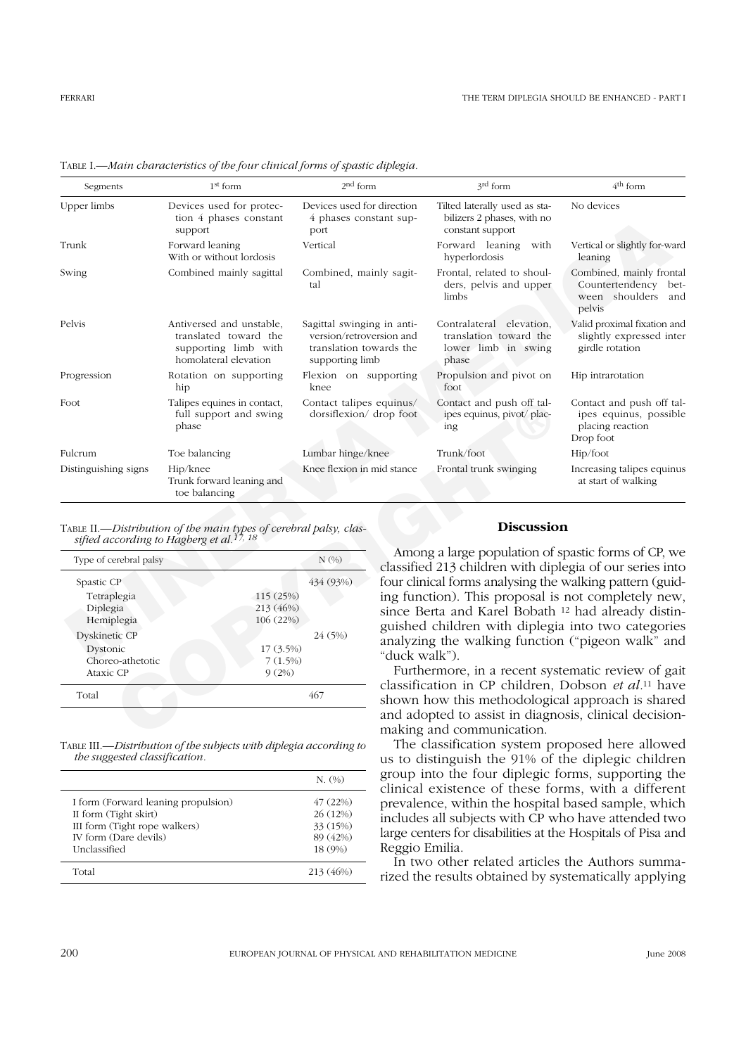| Segments                              | $1st$ form                                                                                                           | 2 <sup>nd</sup> form                                                                                 |                                                                                                                                                                             | 3rd form                                                                                                            | 4 <sup>th</sup> form                                                                 |
|---------------------------------------|----------------------------------------------------------------------------------------------------------------------|------------------------------------------------------------------------------------------------------|-----------------------------------------------------------------------------------------------------------------------------------------------------------------------------|---------------------------------------------------------------------------------------------------------------------|--------------------------------------------------------------------------------------|
| Upper limbs                           | Devices used for protec-<br>tion 4 phases constant<br>support                                                        | Devices used for direction<br>4 phases constant sup-<br>port                                         |                                                                                                                                                                             | Tilted laterally used as sta-<br>bilizers 2 phases, with no<br>constant support                                     | No devices                                                                           |
| Trunk                                 | Forward leaning<br>With or without lordosis                                                                          | Vertical                                                                                             |                                                                                                                                                                             | Forward leaning<br>with<br>hyperlordosis                                                                            | Vertical or slightly for-ward<br>leaning                                             |
| Swing                                 | Combined mainly sagittal                                                                                             | Combined, mainly sagit-<br>tal                                                                       |                                                                                                                                                                             | Frontal, related to shoul-<br>ders, pelvis and upper<br>limbs                                                       | Combined, mainly frontal<br>Countertendency bet-<br>ween shoulders<br>and<br>pelvis  |
| Pelvis                                | Antiversed and unstable,<br>translated toward the<br>supporting limb with<br>homolateral elevation                   | Sagittal swinging in anti-<br>version/retroversion and<br>translation towards the<br>supporting limb |                                                                                                                                                                             | Contralateral elevation,<br>translation toward the<br>lower limb in swing<br>phase                                  | Valid proximal fixation and<br>slightly expressed inter<br>girdle rotation           |
| Progression                           | Rotation on supporting<br>hip                                                                                        | Flexion on supporting<br>knee                                                                        |                                                                                                                                                                             | Propulsion and pivot on<br>foot                                                                                     | Hip intrarotation                                                                    |
| Foot                                  | Talipes equines in contact,<br>full support and swing<br>phase                                                       | Contact talipes equinus/<br>dorsiflexion/ drop foot                                                  |                                                                                                                                                                             | Contact and push off tal-<br>ipes equinus, pivot/plac-<br>ing                                                       | Contact and push off tal-<br>ipes equinus, possible<br>placing reaction<br>Drop foot |
| Fulcrum                               | Toe balancing                                                                                                        | Lumbar hinge/knee                                                                                    |                                                                                                                                                                             | Trunk/foot                                                                                                          | Hip/foot                                                                             |
| Distinguishing signs                  | Hip/knee<br>Trunk forward leaning and<br>toe balancing                                                               | Knee flexion in mid stance                                                                           |                                                                                                                                                                             | Frontal trunk swinging                                                                                              | Increasing talipes equinus<br>at start of walking                                    |
|                                       | TABLE II.—Distribution of the main types of cerebral palsy, classified according to Hagberg et al. <sup>17, 18</sup> |                                                                                                      |                                                                                                                                                                             | <b>Discussion</b>                                                                                                   |                                                                                      |
| Type of cerebral palsy                |                                                                                                                      | N(%)                                                                                                 |                                                                                                                                                                             | Among a large population of spastic forms of CP, we<br>classified 213 children with diplegia of our series into     |                                                                                      |
| Spastic CP                            |                                                                                                                      | 434 (93%)                                                                                            |                                                                                                                                                                             | four clinical forms analysing the walking pattern (guid-                                                            |                                                                                      |
| Tetraplegia<br>Diplegia<br>Hemiplegia | 115 (25%)<br>213 (46%)<br>106 (22%)                                                                                  |                                                                                                      | ing function). This proposal is not completely new,<br>since Berta and Karel Bobath <sup>12</sup> had already distin-<br>guished children with diplegia into two categories |                                                                                                                     |                                                                                      |
| Dyskinetic CP                         |                                                                                                                      | 24 (5%)                                                                                              |                                                                                                                                                                             | analyzing the walking function ("pigeon walk" and                                                                   |                                                                                      |
| Dystonic                              | 17 (3.5%)                                                                                                            |                                                                                                      | "duck walk").                                                                                                                                                               |                                                                                                                     |                                                                                      |
| Choreo-athetotic<br>Ataxic CP         | 7(1.5%)<br>9(2%)                                                                                                     |                                                                                                      |                                                                                                                                                                             | Furthermore, in a recent systematic review of gait                                                                  |                                                                                      |
| Total                                 |                                                                                                                      | 467                                                                                                  |                                                                                                                                                                             | classification in CP children, Dobson et al. <sup>11</sup> have<br>shown how this methodological approach is shared |                                                                                      |
|                                       |                                                                                                                      |                                                                                                      |                                                                                                                                                                             | and adopted to assist in diagnosis, clinical decision-<br>making and communication.                                 |                                                                                      |

TABLE I.—*Main characteristics of the four clinical forms of spastic diplegia.*

| $N(\%)$   |
|-----------|
| 434 (93%) |
| 115 (25%) |
| 213 (46%) |
| 106 (22%) |
| 24 (5%)   |
| 17 (3.5%) |
| 7(1.5%)   |
| 9(2%)     |
| 467       |
|           |

TABLE III.—*Distribution of the subjects with diplegia according to the suggested classification.*

|                                                                                                                                        | N. (%)                                                 |
|----------------------------------------------------------------------------------------------------------------------------------------|--------------------------------------------------------|
| I form (Forward leaning propulsion)<br>II form (Tight skirt)<br>III form (Tight rope walkers)<br>IV form (Dare devils)<br>Unclassified | 47(22%)<br>26 (12%)<br>33 (15%)<br>89 (42%)<br>18 (9%) |
| Total                                                                                                                                  | 213 (46%)                                              |

#### **Discussion**

The classification system proposed here allowed us to distinguish the 91% of the diplegic children group into the four diplegic forms, supporting the clinical existence of these forms, with a different prevalence, within the hospital based sample, which includes all subjects with CP who have attended two large centers for disabilities at the Hospitals of Pisa and Reggio Emilia.

In two other related articles the Authors summarized the results obtained by systematically applying